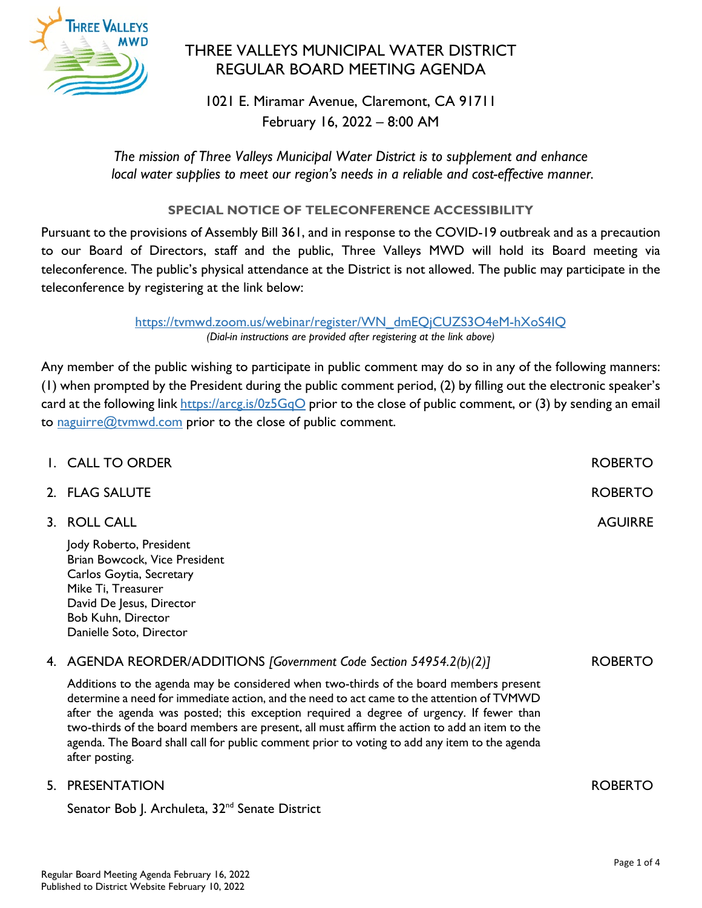

# THREE VALLEYS MUNICIPAL WATER DISTRICT REGULAR BOARD MEETING AGENDA

1021 E. Miramar Avenue, Claremont, CA 91711 February 16, 2022 – 8:00 AM

*The mission of Three Valleys Municipal Water District is to supplement and enhance local water supplies to meet our region's needs in a reliable and cost-effective manner.*

# **SPECIAL NOTICE OF TELECONFERENCE ACCESSIBILITY**

Pursuant to the provisions of Assembly Bill 361, and in response to the COVID-19 outbreak and as a precaution to our Board of Directors, staff and the public, Three Valleys MWD will hold its Board meeting via teleconference. The public's physical attendance at the District is not allowed. The public may participate in the teleconference by registering at the link below:

> [https://tvmwd.zoom.us/webinar/register/WN\\_dmEQjCUZS3O4eM-hXoS4IQ](https://tvmwd.zoom.us/webinar/register/WN_dmEQjCUZS3O4eM-hXoS4IQ) *(Dial-in instructions are provided after registering at the link above)*

Any member of the public wishing to participate in public comment may do so in any of the following manners: (1) when prompted by the President during the public comment period, (2) by filling out the electronic speaker's card at the following link<https://arcg.is/0z5GqO> prior to the close of public comment, or (3) by sending an email to [naguirre@tvmwd.com](mailto:naguirre@tvmwd.com) prior to the close of public comment.

| I. CALL TO ORDER                                                                                                                                                                        | <b>ROBERTO</b> |
|-----------------------------------------------------------------------------------------------------------------------------------------------------------------------------------------|----------------|
| 2. FLAG SALUTE                                                                                                                                                                          | <b>ROBERTO</b> |
| 3. ROLL CALL                                                                                                                                                                            | <b>AGUIRRE</b> |
| Jody Roberto, President<br>Brian Bowcock, Vice President<br>Carlos Goytia, Secretary<br>Mike Ti, Treasurer<br>David De Jesus, Director<br>Bob Kuhn, Director<br>Danielle Soto, Director |                |
| 4. AGENDA REORDER/ADDITIONS [Government Code Section 54954.2(b)(2)]                                                                                                                     | <b>ROBERTO</b> |
| Additions to the agenda may be considered when two-thirds of the board members present                                                                                                  |                |

determine a need for immediate action, and the need to act came to the attention of TVMWD after the agenda was posted; this exception required a degree of urgency. If fewer than two-thirds of the board members are present, all must affirm the action to add an item to the agenda. The Board shall call for public comment prior to voting to add any item to the agenda after posting.

# 5. PRESENTATION

Senator Bob J. Archuleta, 32<sup>nd</sup> Senate District

ROBERTO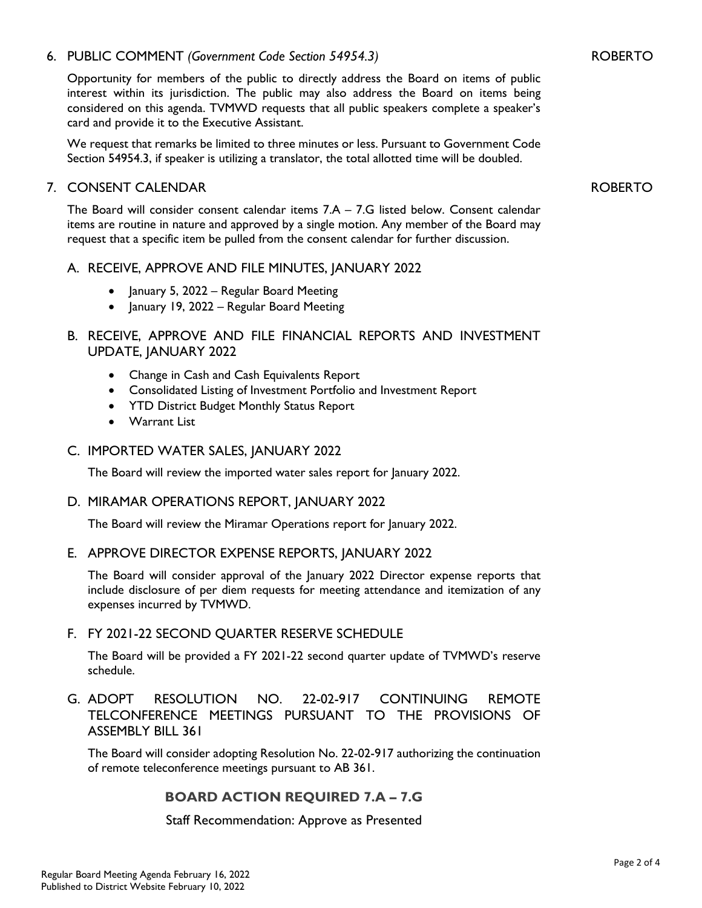## 6. PUBLIC COMMENT *(Government Code Section 54954.3)*

Opportunity for members of the public to directly address the Board on items of public interest within its jurisdiction. The public may also address the Board on items being considered on this agenda. TVMWD requests that all public speakers complete a speaker's card and provide it to the Executive Assistant.

We request that remarks be limited to three minutes or less. Pursuant to Government Code Section 54954.3, if speaker is utilizing a translator, the total allotted time will be doubled.

## 7. CONSENT CALENDAR

The Board will consider consent calendar items 7.A – 7.G listed below. Consent calendar items are routine in nature and approved by a single motion. Any member of the Board may request that a specific item be pulled from the consent calendar for further discussion.

#### A. RECEIVE, APPROVE AND FILE MINUTES, JANUARY 2022

- January 5, 2022 Regular Board Meeting
- January 19, 2022 Regular Board Meeting

# B. RECEIVE, APPROVE AND FILE FINANCIAL REPORTS AND INVESTMENT UPDATE, JANUARY 2022

- Change in Cash and Cash Equivalents Report
- Consolidated Listing of Investment Portfolio and Investment Report
- YTD District Budget Monthly Status Report
- Warrant List

#### C. IMPORTED WATER SALES, JANUARY 2022

The Board will review the imported water sales report for January 2022.

#### D. MIRAMAR OPERATIONS REPORT, JANUARY 2022

The Board will review the Miramar Operations report for January 2022.

#### E. APPROVE DIRECTOR EXPENSE REPORTS, JANUARY 2022

The Board will consider approval of the January 2022 Director expense reports that include disclosure of per diem requests for meeting attendance and itemization of any expenses incurred by TVMWD.

#### F. FY 2021-22 SECOND QUARTER RESERVE SCHEDULE

The Board will be provided a FY 2021-22 second quarter update of TVMWD's reserve schedule.

## G. ADOPT RESOLUTION NO. 22-02-917 CONTINUING REMOTE TELCONFERENCE MEETINGS PURSUANT TO THE PROVISIONS OF ASSEMBLY BILL 361

The Board will consider adopting Resolution No. 22-02-917 authorizing the continuation of remote teleconference meetings pursuant to AB 361.

## **BOARD ACTION REQUIRED 7.A – 7.G**

Staff Recommendation: Approve as Presented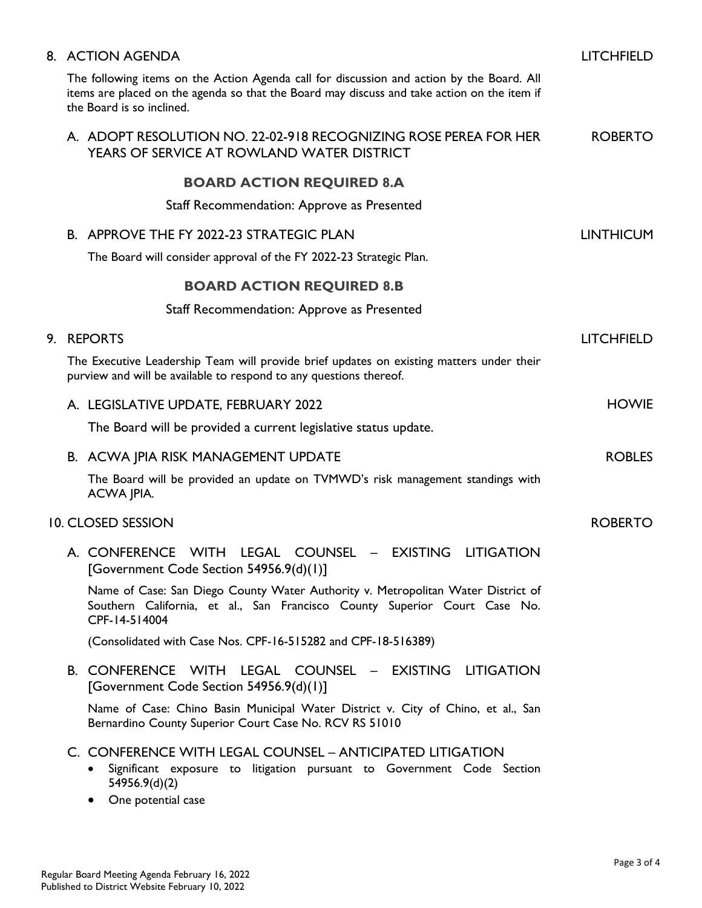|  | 8. ACTION AGENDA                                                                                                                                                                                                      | <b>LITCHFIELD</b> |
|--|-----------------------------------------------------------------------------------------------------------------------------------------------------------------------------------------------------------------------|-------------------|
|  | The following items on the Action Agenda call for discussion and action by the Board. All<br>items are placed on the agenda so that the Board may discuss and take action on the item if<br>the Board is so inclined. |                   |
|  | A. ADOPT RESOLUTION NO. 22-02-918 RECOGNIZING ROSE PEREA FOR HER<br>YEARS OF SERVICE AT ROWLAND WATER DISTRICT                                                                                                        | <b>ROBERTO</b>    |
|  | <b>BOARD ACTION REQUIRED 8.A</b>                                                                                                                                                                                      |                   |
|  | Staff Recommendation: Approve as Presented                                                                                                                                                                            |                   |
|  | B. APPROVE THE FY 2022-23 STRATEGIC PLAN<br>The Board will consider approval of the FY 2022-23 Strategic Plan.                                                                                                        | <b>LINTHICUM</b>  |
|  | <b>BOARD ACTION REQUIRED 8.B</b>                                                                                                                                                                                      |                   |
|  | Staff Recommendation: Approve as Presented                                                                                                                                                                            |                   |
|  | 9. REPORTS                                                                                                                                                                                                            | <b>LITCHFIELD</b> |
|  | The Executive Leadership Team will provide brief updates on existing matters under their<br>purview and will be available to respond to any questions thereof.                                                        |                   |
|  | A. LEGISLATIVE UPDATE, FEBRUARY 2022                                                                                                                                                                                  | <b>HOWIE</b>      |
|  | The Board will be provided a current legislative status update.                                                                                                                                                       |                   |
|  | B. ACWA JPIA RISK MANAGEMENT UPDATE                                                                                                                                                                                   | <b>ROBLES</b>     |
|  | The Board will be provided an update on TVMWD's risk management standings with<br>ACWA JPIA.                                                                                                                          |                   |
|  | <b>10. CLOSED SESSION</b>                                                                                                                                                                                             | <b>ROBERTO</b>    |
|  | A. CONFERENCE WITH<br>LEGAL<br><b>COUNSEL</b><br>- EXISTING<br><b>LITIGATION</b><br>[Government Code Section 54956.9(d)(1)]                                                                                           |                   |
|  | Name of Case: San Diego County Water Authority v. Metropolitan Water District of<br>Southern California, et al., San Francisco County Superior Court Case No.<br>CPF-14-514004                                        |                   |
|  | (Consolidated with Case Nos. CPF-16-515282 and CPF-18-516389)                                                                                                                                                         |                   |
|  | B. CONFERENCE WITH LEGAL COUNSEL - EXISTING LITIGATION<br>[Government Code Section 54956.9(d)(1)]                                                                                                                     |                   |
|  | Name of Case: Chino Basin Municipal Water District v. City of Chino, et al., San<br>Bernardino County Superior Court Case No. RCV RS 51010                                                                            |                   |
|  | C. CONFERENCE WITH LEGAL COUNSEL - ANTICIPATED LITIGATION<br>Significant exposure to litigation pursuant to Government Code Section<br>٠<br>54956.9(d)(2)                                                             |                   |

• One potential case